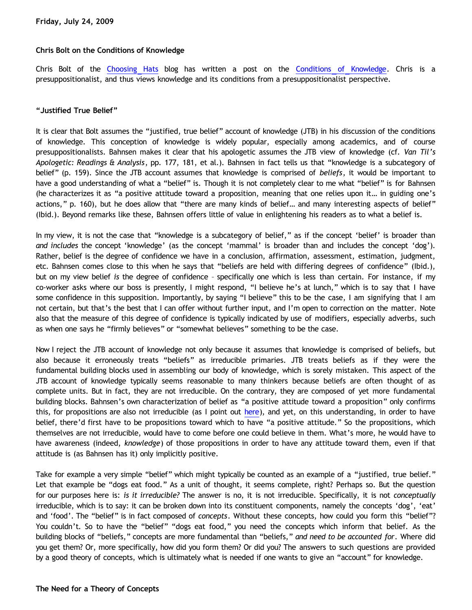## **Chris Bolt on the Conditions of Knowledge**

Chris Bolt of the [Choosing Hats](http://choosinghats.blogspot.com/) blog has written a post on the [Conditions of Knowledge.](http://choosinghats.blogspot.com/2009/07/conditions-of-knowledge.html) Chris is a presuppositionalist, and thus views knowledge and its conditions from a presuppositionalist perspective.

#### **"Justified True Belief"**

It is clear that Bolt assumes the "justified, true belief" account of knowledge (JTB) in his discussion of the conditions of knowledge. This conception of knowledge is widely popular, especially among academics, and of course presuppositionalists. Bahnsen makes it clear that his apologetic assumes the JTB view of knowledge (cf. *Van Til's Apologetic: Readings & Analysis*, pp. 177, 181, et al.). Bahnsen in fact tells us that "knowledge is a subcategory of belief" (p. 159). Since the JTB account assumes that knowledge is comprised of *beliefs*, it would be important to have a good understanding of what a "belief" is. Though it is not completely clear to me what "belief" is for Bahnsen (he characterizes it as "a positive attitude toward a proposition, meaning that one relies upon it… in guiding one's actions," p. 160), but he does allow that "there are many kinds of belief… and many interesting aspects of belief" (Ibid.). Beyond remarks like these, Bahnsen offers little of value in enlightening his readers as to what a belief is.

In my view, it is not the case that "knowledge is a subcategory of belief," as if the concept 'belief' is broader than *and includes* the concept 'knowledge' (as the concept 'mammal' is broader than and includes the concept 'dog'). Rather, belief is the degree of confidence we have in a conclusion, affirmation, assessment, estimation, judgment, etc. Bahnsen comes close to this when he says that "beliefs are held with differing degrees of confidence" (Ibid.), but on my view belief *is* the degree of confidence – specifically one which is less than certain. For instance, if my co-worker asks where our boss is presently, I might respond, "I believe he's at lunch," which is to say that I have some confidence in this supposition. Importantly, by saying "I believe" this to be the case, I am signifying that I am not certain, but that's the best that I can offer without further input, and I'm open to correction on the matter. Note also that the measure of this degree of confidence is typically indicated by use of modifiers, especially adverbs, such as when one says he "firmly believes" or "somewhat believes" something to be the case.

Now I reject the JTB account of knowledge not only because it assumes that knowledge is comprised of beliefs, but also because it erroneously treats "beliefs" as irreducible primaries. JTB treats beliefs as if they were the fundamental building blocks used in assembling our body of knowledge, which is sorely mistaken. This aspect of the JTB account of knowledge typically seems reasonable to many thinkers because beliefs are often thought of as complete units. But in fact, they are not irreducible. On the contrary, they are composed of yet more fundamental building blocks. Bahnsen's own characterization of belief as "a positive attitude toward a proposition" only confirms this, for propositions are also not irreducible (as I point out [here\)](http://bahnsenburner.blogspot.com/2006/12/pauls-necessary-propositions.html), and yet, on this understanding, in order to have belief, there'd first have to be propositions toward which to have "a positive attitude." So the propositions, which themselves are not irreducible, would have to come before one could believe in them. What's more, he would have to have awareness (indeed, *knowledge*) of those propositions in order to have any attitude toward them, even if that attitude is (as Bahnsen has it) only implicitly positive.

Take for example a very simple "belief" which might typically be counted as an example of a "justified, true belief." Let that example be "dogs eat food." As a unit of thought, it seems complete, right? Perhaps so. But the question for our purposes here is: *is it irreducible?* The answer is no, it is not irreducible. Specifically, it is not *conceptually* irreducible, which is to say: it can be broken down into its constituent components, namely the concepts 'dog', 'eat' and 'food'. The "belief" is in fact composed of *concepts*. Without these concepts, how could you form this "belief"? You couldn't. So to have the "belief" "dogs eat food," you need the concepts which inform that belief. As the building blocks of "beliefs," concepts are more fundamental than "beliefs," *and need to be accounted for*. Where did you get them? Or, more specifically, how did you form them? Or did you? The answers to such questions are provided by a good theory of concepts, which is ultimately what is needed if one wants to give an "account" for knowledge.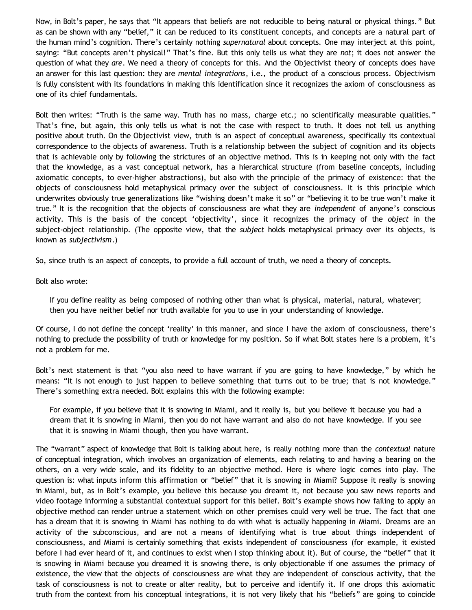Now, in Bolt's paper, he says that "It appears that beliefs are not reducible to being natural or physical things." But as can be shown with any "belief," it can be reduced to its constituent concepts, and concepts are a natural part of the human mind's cognition. There's certainly nothing *supernatural* about concepts. One may interject at this point, saying: "But concepts aren't physical!" That's fine. But this only tells us what they are *not*; it does not answer the question of what they *are*. We need a theory of concepts for this. And the Objectivist theory of concepts does have an answer for this last question: they are *mental integrations*, i.e., the product of a conscious process. Objectivism is fully consistent with its foundations in making this identification since it recognizes the axiom of consciousness as one of its chief fundamentals.

Bolt then writes: "Truth is the same way. Truth has no mass, charge etc.; no scientifically measurable qualities." That's fine, but again, this only tells us what is not the case with respect to truth. It does not tell us anything positive about truth. On the Objectivist view, truth is an aspect of conceptual awareness, specifically its contextual correspondence to the objects of awareness. Truth is a relationship between the subject of cognition and its objects that is achievable only by following the strictures of an objective method. This is in keeping not only with the fact that the knowledge, as a vast conceptual network, has a hierarchical structure (from baseline concepts, including axiomatic concepts, to ever-higher abstractions), but also with the principle of the primacy of existence: that the objects of consciousness hold metaphysical primacy over the subject of consciousness. It is this principle which underwrites obviously true generalizations like "wishing doesn't make it so" or "believing it to be true won't make it true." It is the recognition that the objects of consciousness are what they are *independent* of anyone's conscious activity. This is the basis of the concept 'objectivity', since it recognizes the primacy of the *object* in the subject-object relationship. (The opposite view, that the *subject* holds metaphysical primacy over its objects, is known as *subjectivism*.)

So, since truth is an aspect of concepts, to provide a full account of truth, we need a theory of concepts.

Bolt also wrote:

If you define reality as being composed of nothing other than what is physical, material, natural, whatever; then you have neither belief nor truth available for you to use in your understanding of knowledge.

Of course, I do not define the concept 'reality' in this manner, and since I have the axiom of consciousness, there's nothing to preclude the possibility of truth or knowledge for my position. So if what Bolt states here is a problem, it's not a problem for me.

Bolt's next statement is that "you also need to have warrant if you are going to have knowledge," by which he means: "It is not enough to just happen to believe something that turns out to be true; that is not knowledge." There's something extra needed. Bolt explains this with the following example:

For example, if you believe that it is snowing in Miami, and it really is, but you believe it because you had a dream that it is snowing in Miami, then you do not have warrant and also do not have knowledge. If you see that it is snowing in Miami though, then you have warrant.

The "warrant" aspect of knowledge that Bolt is talking about here, is really nothing more than the *contextual* nature of conceptual integration, which involves an organization of elements, each relating to and having a bearing on the others, on a very wide scale, and its fidelity to an objective method. Here is where logic comes into play. The question is: what inputs inform this affirmation or "belief" that it is snowing in Miami? Suppose it really is snowing in Miami, but, as in Bolt's example, you believe this because you dreamt it, not because you saw news reports and video footage informing a substantial contextual support for this belief. Bolt's example shows how failing to apply an objective method can render untrue a statement which on other premises could very well be true. The fact that one has a dream that it is snowing in Miami has nothing to do with what is actually happening in Miami. Dreams are an activity of the subconscious, and are not a means of identifying what is true about things independent of consciousness, and Miami is certainly something that exists independent of consciousness (for example, it existed before I had ever heard of it, and continues to exist when I stop thinking about it). But of course, the "belief" that it is snowing in Miami because you dreamed it is snowing there, is only objectionable if one assumes the primacy of existence, the view that the objects of consciousness are what they are independent of conscious activity, that the task of consciousness is not to create or alter reality, but to perceive and identify it. If one drops this axiomatic truth from the context from his conceptual integrations, it is not very likely that his "beliefs" are going to coincide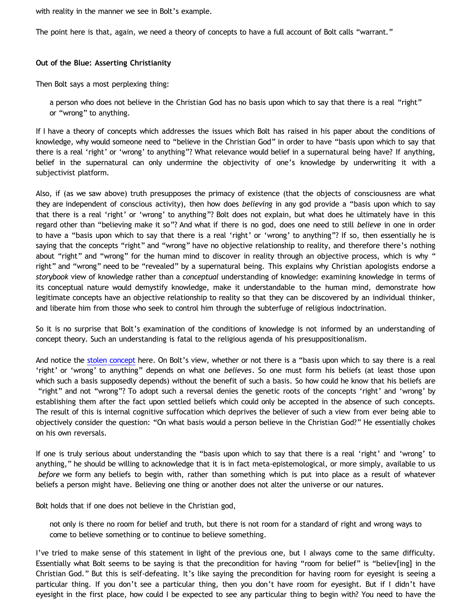with reality in the manner we see in Bolt's example.

The point here is that, again, we need a theory of concepts to have a full account of Bolt calls "warrant."

# **Out of the Blue: Asserting Christianity**

Then Bolt says a most perplexing thing:

a person who does not believe in the Christian God has no basis upon which to say that there is a real "right" or "wrong" to anything.

If I have a theory of concepts which addresses the issues which Bolt has raised in his paper about the conditions of knowledge, why would someone need to "believe in the Christian God" in order to have "basis upon which to say that there is a real 'right' or 'wrong' to anything"? What relevance would belief in a supernatural being have? If anything, belief in the supernatural can only undermine the objectivity of one's knowledge by underwriting it with a subjectivist platform.

Also, if (as we saw above) truth presupposes the primacy of existence (that the objects of consciousness are what they are independent of conscious activity), then how does *believing* in any god provide a "basis upon which to say that there is a real 'right' or 'wrong' to anything"? Bolt does not explain, but what does he ultimately have in this regard other than "believing make it so"? And what if there is no god, does one need to still *believe* in one in order to have a "basis upon which to say that there is a real 'right' or 'wrong' to anything"? If so, then essentially he is saying that the concepts "right" and "wrong" have no objective relationship to reality, and therefore there's nothing about "right" and "wrong" for the human mind to discover in reality through an objective process, which is why " right" and "wrong" need to be "revealed" by a supernatural being. This explains why Christian apologists endorse a *storybook* view of knowledge rather than a *conceptual* understanding of knowledge: examining knowledge in terms of its conceptual nature would demystify knowledge, make it understandable to the human mind, demonstrate how legitimate concepts have an objective relationship to reality so that they can be discovered by an individual thinker, and liberate him from those who seek to control him through the subterfuge of religious indoctrination.

So it is no surprise that Bolt's examination of the conditions of knowledge is not informed by an understanding of concept theory. Such an understanding is fatal to the religious agenda of his presuppositionalism.

And notice the [stolen concept](http://bahnsenburner.blogspot.com/2008/06/stolen-concepts-and-intellectual.html) here. On Bolt's view, whether or not there is a "basis upon which to say there is a real 'right' or 'wrong' to anything" depends on what one *believes*. So one must form his beliefs (at least those upon which such a basis supposedly depends) without the benefit of such a basis. So how could he know that his beliefs are "right" and not "wrong"? To adopt such a reversal denies the genetic roots of the concepts 'right' and 'wrong' by establishing them after the fact upon settled beliefs which could only be accepted in the absence of such concepts. The result of this is internal cognitive suffocation which deprives the believer of such a view from ever being able to objectively consider the question: "On what basis would a person believe in the Christian God?" He essentially chokes on his own reversals.

If one is truly serious about understanding the "basis upon which to say that there is a real 'right' and 'wrong' to anything," he should be willing to acknowledge that it is in fact meta-epistemological, or more simply, available to us *before* we form any beliefs to begin with, rather than something which is put into place as a result of whatever beliefs a person might have. Believing one thing or another does not alter the universe or our natures.

Bolt holds that if one does not believe in the Christian god,

not only is there no room for belief and truth, but there is not room for a standard of right and wrong ways to come to believe something or to continue to believe something.

I've tried to make sense of this statement in light of the previous one, but I always come to the same difficulty. Essentially what Bolt seems to be saying is that the precondition for having "room for belief" is "believ[ing] in the Christian God." But this is self-defeating. It's like saying the precondition for having room for eyesight is seeing a particular thing. If you don't see a particular thing, then you don't have room for eyesight. But if I didn't have eyesight in the first place, how could I be expected to see any particular thing to begin with? You need to have the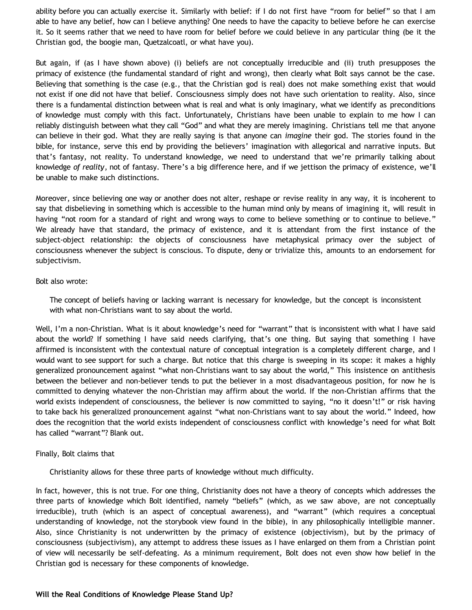ability before you can actually exercise it. Similarly with belief: if I do not first have "room for belief" so that I am able to have any belief, how can I believe anything? One needs to have the capacity to believe before he can exercise it. So it seems rather that we need to have room for belief before we could believe in any particular thing (be it the Christian god, the boogie man, Quetzalcoatl, or what have you).

But again, if (as I have shown above) (i) beliefs are not conceptually irreducible and (ii) truth presupposes the primacy of existence (the fundamental standard of right and wrong), then clearly what Bolt says cannot be the case. Believing that something is the case (e.g., that the Christian god is real) does not make something exist that would not exist if one did not have that belief. Consciousness simply does not have such orientation to reality. Also, since there is a fundamental distinction between what is real and what is only imaginary, what we identify as preconditions of knowledge must comply with this fact. Unfortunately, Christians have been unable to explain to me how I can reliably distinguish between what they call "God" and what they are merely imagining. Christians tell me that anyone can believe in their god. What they are really saying is that anyone can *imagine* their god. The stories found in the bible, for instance, serve this end by providing the believers' imagination with allegorical and narrative inputs. But that's fantasy, not reality. To understand knowledge, we need to understand that we're primarily talking about knowledge *of reality*, not of fantasy. There's a big difference here, and if we jettison the primacy of existence, we'll be unable to make such distinctions.

Moreover, since believing one way or another does not alter, reshape or revise reality in any way, it is incoherent to say that disbelieving in something which is accessible to the human mind only by means of imagining it, will result in having "not room for a standard of right and wrong ways to come to believe something or to continue to believe." We already have that standard, the primacy of existence, and it is attendant from the first instance of the subject-object relationship: the objects of consciousness have metaphysical primacy over the subject of consciousness whenever the subject is conscious. To dispute, deny or trivialize this, amounts to an endorsement for subjectivism.

#### Bolt also wrote:

The concept of beliefs having or lacking warrant is necessary for knowledge, but the concept is inconsistent with what non-Christians want to say about the world.

Well, I'm a non-Christian. What is it about knowledge's need for "warrant" that is inconsistent with what I have said about the world? If something I have said needs clarifying, that's one thing. But saying that something I have affirmed is inconsistent with the contextual nature of conceptual integration is a completely different charge, and I would want to see support for such a charge. But notice that this charge is sweeping in its scope: it makes a highly generalized pronouncement against "what non-Christians want to say about the world," This insistence on antithesis between the believer and non-believer tends to put the believer in a most disadvantageous position, for now he is committed to denying whatever the non-Christian may affirm about the world. If the non-Christian affirms that the world exists independent of consciousness, the believer is now committed to saying, "no it doesn't!" or risk having to take back his generalized pronouncement against "what non-Christians want to say about the world." Indeed, how does the recognition that the world exists independent of consciousness conflict with knowledge's need for what Bolt has called "warrant"? Blank out.

# Finally, Bolt claims that

Christianity allows for these three parts of knowledge without much difficulty.

In fact, however, this is not true. For one thing, Christianity does not have a theory of concepts which addresses the three parts of knowledge which Bolt identified, namely "beliefs" (which, as we saw above, are not conceptually irreducible), truth (which is an aspect of conceptual awareness), and "warrant" (which requires a conceptual understanding of knowledge, not the storybook view found in the bible), in any philosophically intelligible manner. Also, since Christianity is not underwritten by the primacy of existence (objectivism), but by the primacy of consciousness (subjectivism), any attempt to address these issues as I have enlarged on them from a Christian point of view will necessarily be self-defeating. As a minimum requirement, Bolt does not even show how belief in the Christian god is necessary for these components of knowledge.